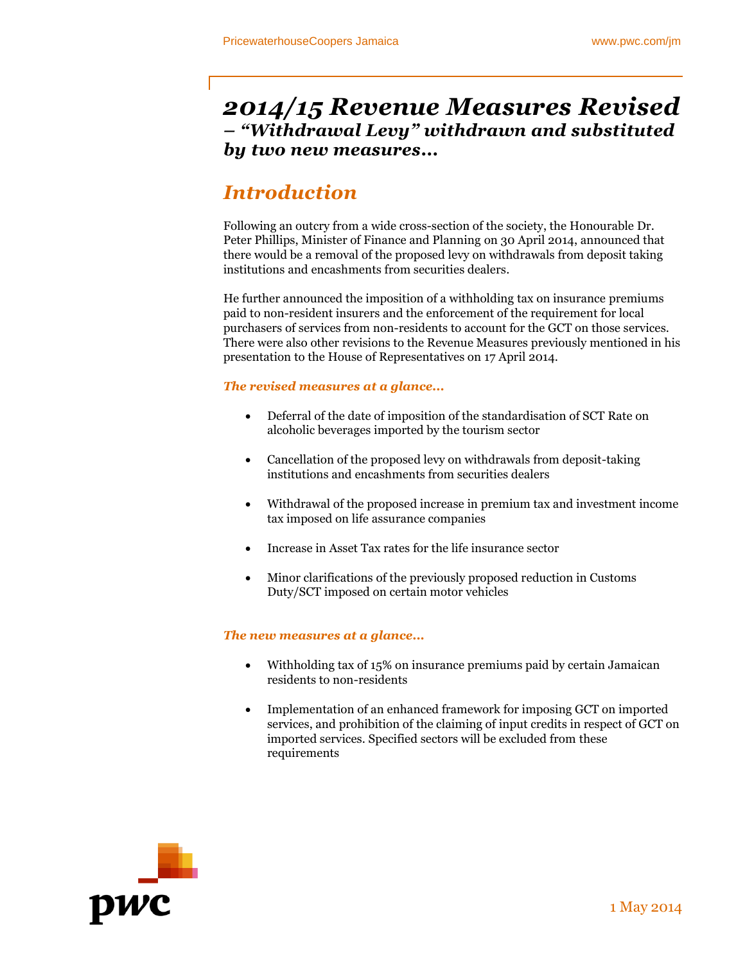# *2014/15 Revenue Measures Revised – "Withdrawal Levy" withdrawn and substituted by two new measures...*

# *Introduction*

Following an outcry from a wide cross-section of the society, the Honourable Dr. Peter Phillips, Minister of Finance and Planning on 30 April 2014, announced that there would be a removal of the proposed levy on withdrawals from deposit taking institutions and encashments from securities dealers.

He further announced the imposition of a withholding tax on insurance premiums paid to non-resident insurers and the enforcement of the requirement for local purchasers of services from non-residents to account for the GCT on those services. There were also other revisions to the Revenue Measures previously mentioned in his presentation to the House of Representatives on 17 April 2014.

## *The revised measures at a glance...*

- Deferral of the date of imposition of the standardisation of SCT Rate on alcoholic beverages imported by the tourism sector
- Cancellation of the proposed levy on withdrawals from deposit-taking institutions and encashments from securities dealers
- Withdrawal of the proposed increase in premium tax and investment income tax imposed on life assurance companies
- Increase in Asset Tax rates for the life insurance sector
- Minor clarifications of the previously proposed reduction in Customs Duty/SCT imposed on certain motor vehicles

## *The new measures at a glance...*

- Withholding tax of 15% on insurance premiums paid by certain Jamaican residents to non-residents
- Implementation of an enhanced framework for imposing GCT on imported services, and prohibition of the claiming of input credits in respect of GCT on imported services. Specified sectors will be excluded from these requirements

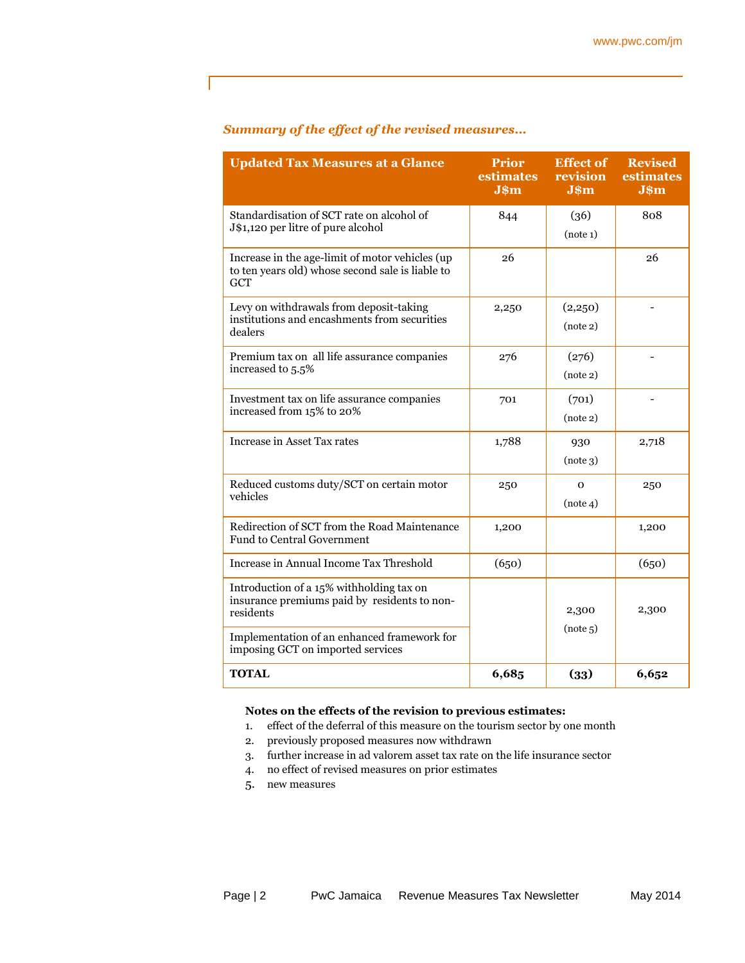## *Summary of the effect of the revised measures...*

| <b>Updated Tax Measures at a Glance</b>                                                                           | <b>Prior</b><br>estimates<br>J\$m | <b>Effect of</b><br>revision<br>$J$ \$m | <b>Revised</b><br>estimates<br>J\$m |
|-------------------------------------------------------------------------------------------------------------------|-----------------------------------|-----------------------------------------|-------------------------------------|
| Standardisation of SCT rate on alcohol of<br>J\$1,120 per litre of pure alcohol                                   | 844                               | (36)<br>(note 1)                        | 808                                 |
| Increase in the age-limit of motor vehicles (up<br>to ten years old) whose second sale is liable to<br><b>GCT</b> | 26                                |                                         | 26                                  |
| Levy on withdrawals from deposit-taking<br>institutions and encashments from securities<br>dealers                | 2,250                             | (2,250)<br>(note 2)                     |                                     |
| Premium tax on all life assurance companies<br>increased to 5.5%                                                  | 276                               | (276)<br>(note 2)                       |                                     |
| Investment tax on life assurance companies<br>increased from 15% to 20%                                           | 701                               | (701)<br>(note 2)                       | $\overline{a}$                      |
| Increase in Asset Tax rates                                                                                       | 1,788                             | 930<br>(note 3)                         | 2,718                               |
| Reduced customs duty/SCT on certain motor<br>vehicles                                                             | 250                               | $\mathbf{O}$<br>(note 4)                | 250                                 |
| Redirection of SCT from the Road Maintenance<br><b>Fund to Central Government</b>                                 | 1,200                             |                                         | 1,200                               |
| Increase in Annual Income Tax Threshold                                                                           | (650)                             |                                         | (650)                               |
| Introduction of a 15% withholding tax on<br>insurance premiums paid by residents to non-<br>residents             |                                   | 2,300<br>(note 5)                       | 2,300                               |
| Implementation of an enhanced framework for<br>imposing GCT on imported services                                  |                                   |                                         |                                     |
| <b>TOTAL</b>                                                                                                      | 6,685                             | (33)                                    | 6,652                               |

### **Notes on the effects of the revision to previous estimates:**

- 1. effect of the deferral of this measure on the tourism sector by one month
- 2. previously proposed measures now withdrawn
- 3. further increase in ad valorem asset tax rate on the life insurance sector
- 4. no effect of revised measures on prior estimates
- 5. new measures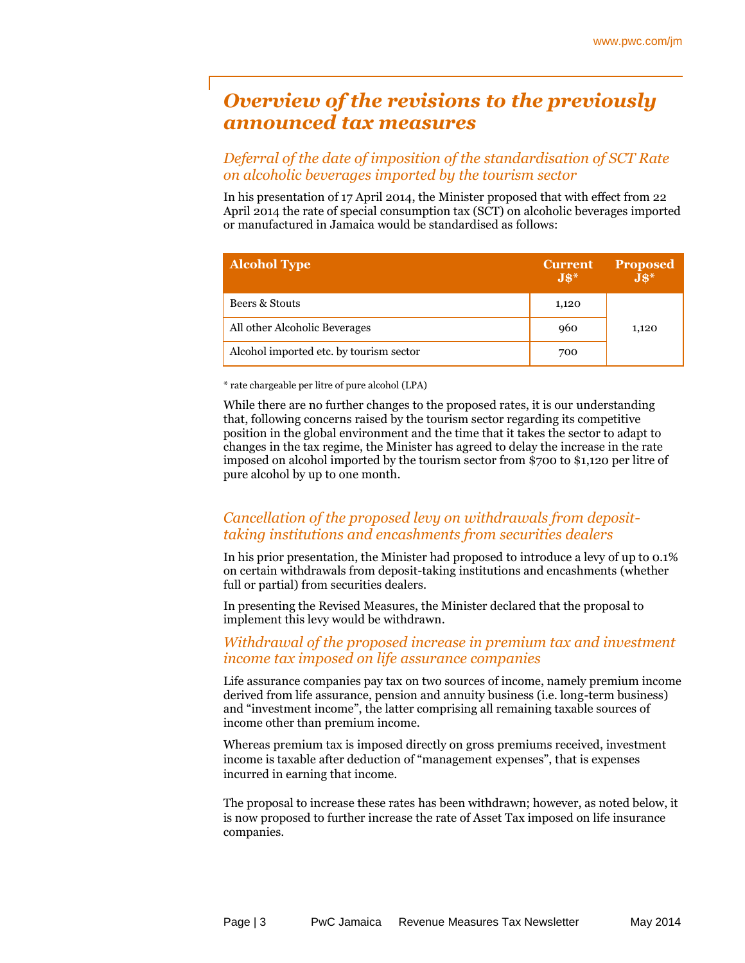# *Overview of the revisions to the previously announced tax measures*

## *Deferral of the date of imposition of the standardisation of SCT Rate on alcoholic beverages imported by the tourism sector*

In his presentation of 17 April 2014, the Minister proposed that with effect from 22 April 2014 the rate of special consumption tax (SCT) on alcoholic beverages imported or manufactured in Jamaica would be standardised as follows:

| <b>Alcohol Type</b>                     | <b>Current</b><br>$J\$ | <b>Proposed</b><br>$J$^*$ |
|-----------------------------------------|------------------------|---------------------------|
| Beers & Stouts                          | 1,120                  |                           |
| All other Alcoholic Beverages           | 960                    | 1,120                     |
| Alcohol imported etc. by tourism sector | 700                    |                           |

\* rate chargeable per litre of pure alcohol (LPA)

While there are no further changes to the proposed rates, it is our understanding that, following concerns raised by the tourism sector regarding its competitive position in the global environment and the time that it takes the sector to adapt to changes in the tax regime, the Minister has agreed to delay the increase in the rate imposed on alcohol imported by the tourism sector from \$700 to \$1,120 per litre of pure alcohol by up to one month.

# *Cancellation of the proposed levy on withdrawals from deposittaking institutions and encashments from securities dealers*

In his prior presentation, the Minister had proposed to introduce a levy of up to 0.1% on certain withdrawals from deposit-taking institutions and encashments (whether full or partial) from securities dealers.

In presenting the Revised Measures, the Minister declared that the proposal to implement this levy would be withdrawn.

## *Withdrawal of the proposed increase in premium tax and investment income tax imposed on life assurance companies*

Life assurance companies pay tax on two sources of income, namely premium income derived from life assurance, pension and annuity business (i.e. long-term business) and "investment income", the latter comprising all remaining taxable sources of income other than premium income.

Whereas premium tax is imposed directly on gross premiums received, investment income is taxable after deduction of "management expenses", that is expenses incurred in earning that income.

The proposal to increase these rates has been withdrawn; however, as noted below, it is now proposed to further increase the rate of Asset Tax imposed on life insurance companies.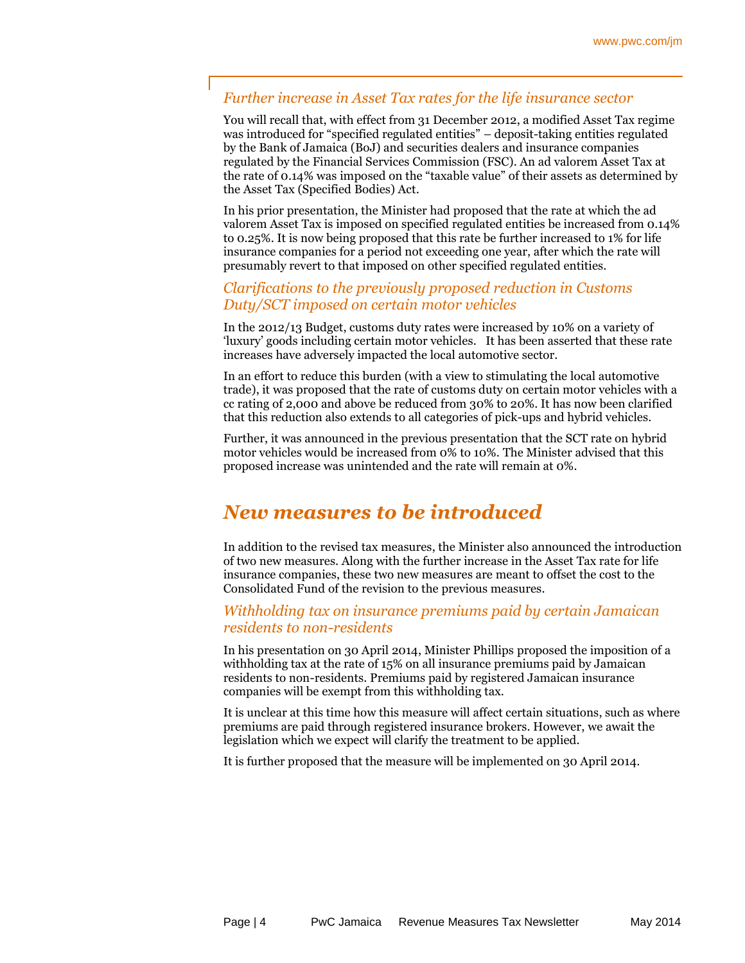## *Further increase in Asset Tax rates for the life insurance sector*

You will recall that, with effect from 31 December 2012, a modified Asset Tax regime was introduced for "specified regulated entities" – deposit-taking entities regulated by the Bank of Jamaica (BoJ) and securities dealers and insurance companies regulated by the Financial Services Commission (FSC). An ad valorem Asset Tax at the rate of 0.14% was imposed on the "taxable value" of their assets as determined by the Asset Tax (Specified Bodies) Act.

In his prior presentation, the Minister had proposed that the rate at which the ad valorem Asset Tax is imposed on specified regulated entities be increased from 0.14% to 0.25%. It is now being proposed that this rate be further increased to 1% for life insurance companies for a period not exceeding one year, after which the rate will presumably revert to that imposed on other specified regulated entities.

## *Clarifications to the previously proposed reduction in Customs Duty/SCT imposed on certain motor vehicles*

In the 2012/13 Budget, customs duty rates were increased by 10% on a variety of 'luxury' goods including certain motor vehicles. It has been asserted that these rate increases have adversely impacted the local automotive sector.

In an effort to reduce this burden (with a view to stimulating the local automotive trade), it was proposed that the rate of customs duty on certain motor vehicles with a cc rating of 2,000 and above be reduced from 30% to 20%. It has now been clarified that this reduction also extends to all categories of pick-ups and hybrid vehicles.

Further, it was announced in the previous presentation that the SCT rate on hybrid motor vehicles would be increased from 0% to 10%. The Minister advised that this proposed increase was unintended and the rate will remain at 0%.

# *New measures to be introduced*

In addition to the revised tax measures, the Minister also announced the introduction of two new measures. Along with the further increase in the Asset Tax rate for life insurance companies, these two new measures are meant to offset the cost to the Consolidated Fund of the revision to the previous measures.

## *Withholding tax on insurance premiums paid by certain Jamaican residents to non-residents*

In his presentation on 30 April 2014, Minister Phillips proposed the imposition of a withholding tax at the rate of 15% on all insurance premiums paid by Jamaican residents to non-residents. Premiums paid by registered Jamaican insurance companies will be exempt from this withholding tax.

It is unclear at this time how this measure will affect certain situations, such as where premiums are paid through registered insurance brokers. However, we await the legislation which we expect will clarify the treatment to be applied.

It is further proposed that the measure will be implemented on 30 April 2014.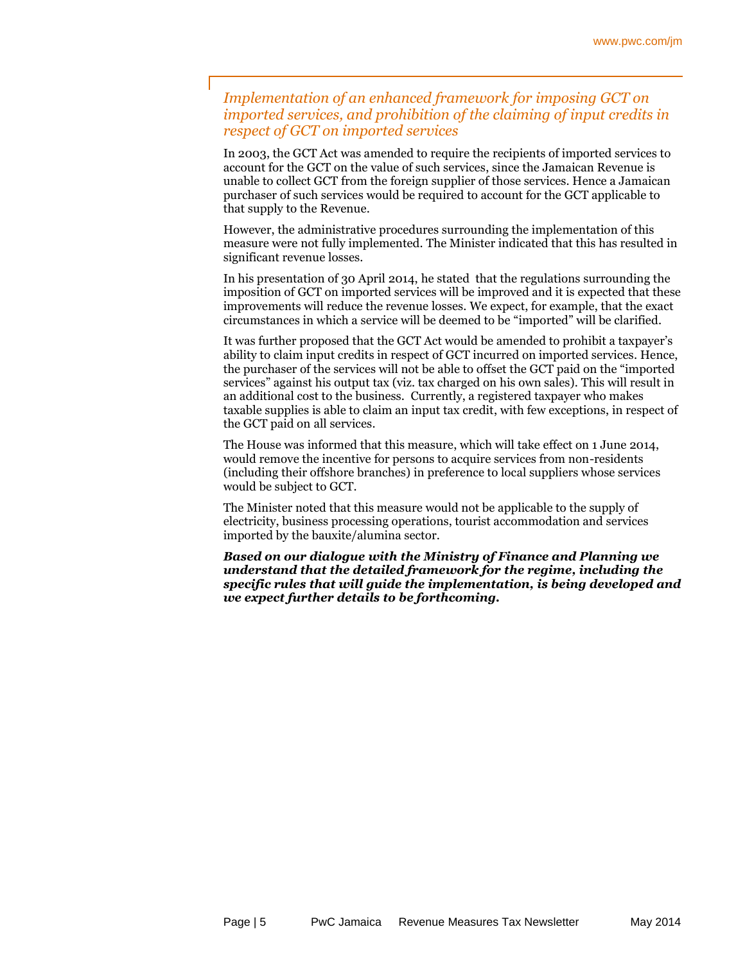# *Implementation of an enhanced framework for imposing GCT on imported services, and prohibition of the claiming of input credits in respect of GCT on imported services*

In 2003, the GCT Act was amended to require the recipients of imported services to account for the GCT on the value of such services, since the Jamaican Revenue is unable to collect GCT from the foreign supplier of those services. Hence a Jamaican purchaser of such services would be required to account for the GCT applicable to that supply to the Revenue.

However, the administrative procedures surrounding the implementation of this measure were not fully implemented. The Minister indicated that this has resulted in significant revenue losses.

In his presentation of 30 April 2014, he stated that the regulations surrounding the imposition of GCT on imported services will be improved and it is expected that these improvements will reduce the revenue losses. We expect, for example, that the exact circumstances in which a service will be deemed to be "imported" will be clarified.

It was further proposed that the GCT Act would be amended to prohibit a taxpayer's ability to claim input credits in respect of GCT incurred on imported services. Hence, the purchaser of the services will not be able to offset the GCT paid on the "imported services" against his output tax (viz. tax charged on his own sales). This will result in an additional cost to the business. Currently, a registered taxpayer who makes taxable supplies is able to claim an input tax credit, with few exceptions, in respect of the GCT paid on all services.

The House was informed that this measure, which will take effect on 1 June 2014, would remove the incentive for persons to acquire services from non-residents (including their offshore branches) in preference to local suppliers whose services would be subject to GCT.

The Minister noted that this measure would not be applicable to the supply of electricity, business processing operations, tourist accommodation and services imported by the bauxite/alumina sector.

*Based on our dialogue with the Ministry of Finance and Planning we understand that the detailed framework for the regime, including the specific rules that will guide the implementation, is being developed and we expect further details to be forthcoming.*